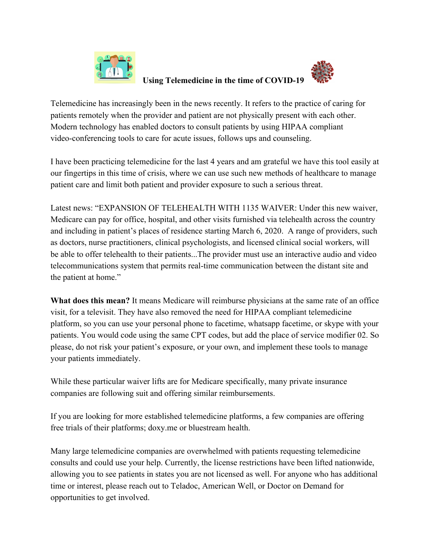

## **Using Telemedicine in the time of COVID-19**



Telemedicine has increasingly been in the news recently. It refers to the practice of caring for patients remotely when the provider and patient are not physically present with each other. Modern technology has enabled doctors to consult patients by using HIPAA compliant video-conferencing tools to care for acute issues, follows ups and counseling.

I have been practicing telemedicine for the last 4 years and am grateful we have this tool easily at our fingertips in this time of crisis, where we can use such new methods of healthcare to manage patient care and limit both patient and provider exposure to such a serious threat.

Latest news: "EXPANSION OF TELEHEALTH WITH 1135 WAIVER: Under this new waiver, Medicare can pay for office, hospital, and other visits furnished via telehealth across the country and including in patient's places of residence starting March 6, 2020. A range of providers, such as doctors, nurse practitioners, clinical psychologists, and licensed clinical social workers, will be able to offer telehealth to their patients...The provider must use an interactive audio and video telecommunications system that permits real-time communication between the distant site and the patient at home."

**What does this mean?** It means Medicare will reimburse physicians at the same rate of an office visit, for a televisit. They have also removed the need for HIPAA compliant telemedicine platform, so you can use your personal phone to facetime, whatsapp facetime, or skype with your patients. You would code using the same CPT codes, but add the place of service modifier 02. So please, do not risk your patient's exposure, or your own, and implement these tools to manage your patients immediately.

While these particular waiver lifts are for Medicare specifically, many private insurance companies are following suit and offering similar reimbursements.

If you are looking for more established telemedicine platforms, a few companies are offering free trials of their platforms; doxy.me or bluestream health.

Many large telemedicine companies are overwhelmed with patients requesting telemedicine consults and could use your help. Currently, the license restrictions have been lifted nationwide, allowing you to see patients in states you are not licensed as well. For anyone who has additional time or interest, please reach out to Teladoc, American Well, or Doctor on Demand for opportunities to get involved.